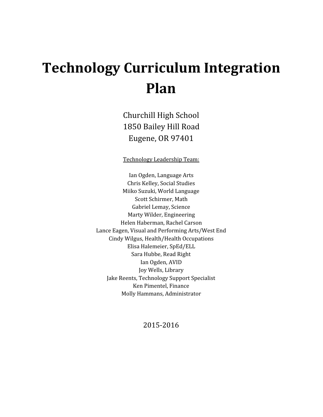# **Technology Curriculum Integration Plan**

Churchill High School 1850 Bailey Hill Road Eugene, OR 97401

Technology Leadership Team:

Ian Ogden, Language Arts Chris Kelley, Social Studies Miiko Suzuki, World Language Scott Schirmer, Math Gabriel Lemay, Science Marty Wilder, Engineering Helen Haberman, Rachel Carson Lance Eagen, Visual and Performing Arts/West End Cindy Wilgus, Health/Health Occupations Elisa Halemeier, SpEd/ELL Sara Hubbe, Read Right Ian Ogden, AVID Joy Wells, Library Jake Reents, Technology Support Specialist Ken Pimentel, Finance Molly Hammans, Administrator

2015-2016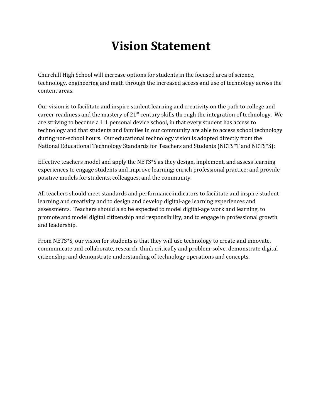# **Vision Statement**

Churchill High School will increase options for students in the focused area of science, technology, engineering and math through the increased access and use of technology across the content areas.

Our vision is to facilitate and inspire student learning and creativity on the path to college and career readiness and the mastery of  $21^{st}$  century skills through the integration of technology. We are striving to become a 1:1 personal device school, in that every student has access to technology and that students and families in our community are able to access school technology during non-school hours. Our educational technology vision is adopted directly from the National Educational Technology Standards for Teachers and Students (NETS\*T and NETS\*S):

Effective teachers model and apply the NETS\*S as they design, implement, and assess learning experiences to engage students and improve learning; enrich professional practice; and provide positive models for students, colleagues, and the community.

All teachers should meet standards and performance indicators to facilitate and inspire student learning and creativity and to design and develop digital-age learning experiences and assessments. Teachers should also be expected to model digital-age work and learning, to promote and model digital citizenship and responsibility, and to engage in professional growth and leadership.

From NETS\*S, our vision for students is that they will use technology to create and innovate, communicate and collaborate, research, think critically and problem-solve, demonstrate digital citizenship, and demonstrate understanding of technology operations and concepts.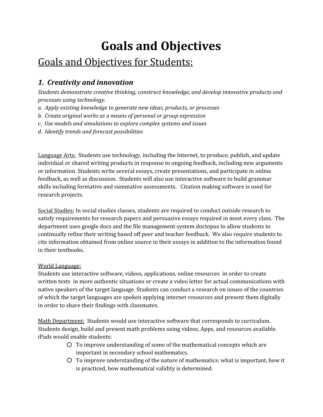# **Goals and Objectives**

# Goals and Objectives for Students:

## *1. Creativity and innovation*

*Students demonstrate creative thinking, construct knowledge, and develop innovative products and processes using technology.*

- *a. Apply existing knowledge to generate new ideas, products, or processes*
- *b. Create original works as a means of personal or group expression*
- *c. Use models and simulations to explore complex systems and issues*
- *d. Identify trends and forecast possibilities*

Language Arts: Students use technology, including the Internet, to produce, publish, and update individual or shared writing products in response to ongoing feedback, including new arguments or information. Students write several essays, create presentations, and participate in online feedback, as well as discussion. Students will also use interactive software to build grammar skills including formative and summative assessments. Citation making software is used for research projects.

Social Studies: In social studies classes, students are required to conduct outside research to satisfy requirements for research papers and persuasive essays required in most every class. The department uses google docs and the file management system doctopus to allow students to continually refine their writing based off peer and teacher feedback. We also require students to cite information obtained from online source in their essays in addition to the information found in their textbooks.

### World Language:

Students use interactive software, videos, applications, online resources in order to create written texts in more authentic situations or create a video letter for actual communications with native speakers of the target language. Students can conduct a research on issues of the countries of which the target languages are spoken applying internet resources and present them digitally in order to share their findings with classmates.

Math Department: Students would use interactive software that corresponds to curriculum. Students design, build and present math problems using videos, Apps, and resources available. iPads would enable students:

- To improve understanding of some of the mathematical concepts which are important in secondary school mathematics.
- To improve understanding of the nature of mathematics: what is important, how it is practiced, how mathematical validity is determined.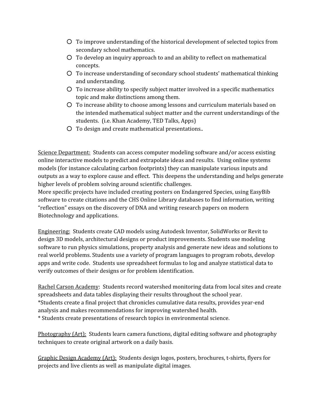- To improve understanding of the historical development of selected topics from secondary school mathematics.
- To develop an inquiry approach to and an ability to reflect on mathematical concepts.
- To increase understanding of secondary school students' mathematical thinking and understanding.
- To increase ability to specify subject matter involved in a specific mathematics topic and make distinctions among them.
- To increase ability to choose among lessons and curriculum materials based on the intended mathematical subject matter and the current understandings of the students. (i.e. Khan Academy, TED Talks, Apps)
- To design and create mathematical presentations..

Science Department: Students can access computer modeling software and/or access existing online interactive models to predict and extrapolate ideas and results. Using online systems models (for instance calculating carbon footprints) they can manipulate various inputs and outputs as a way to explore cause and effect. This deepens the understanding and helps generate higher levels of problem solving around scientific challenges.

More specific projects have included creating posters on Endangered Species, using EasyBib software to create citations and the CHS Online Library databases to find information, writing "reflection" essays on the discovery of DNA and writing research papers on modern Biotechnology and applications.

Engineering: Students create CAD models using Autodesk Inventor, SolidWorks or Revit to design 3D models, architectural designs or product improvements. Students use modeling software to run physics simulations, property analysis and generate new ideas and solutions to real world problems. Students use a variety of program languages to program robots, develop apps and write code. Students use spreadsheet formulas to log and analyze statistical data to verify outcomes of their designs or for problem identification.

Rachel Carson Academy: Students record watershed monitoring data from local sites and create spreadsheets and data tables displaying their results throughout the school year. \*Students create a final project that chronicles cumulative data results, provides year-end analysis and makes recommendations for improving watershed health. \* Students create presentations of research topics in environmental science.

Photography (Art): Students learn camera functions, digital editing software and photography techniques to create original artwork on a daily basis.

Graphic Design Academy (Art): Students design logos, posters, brochures, t-shirts, flyers for projects and live clients as well as manipulate digital images.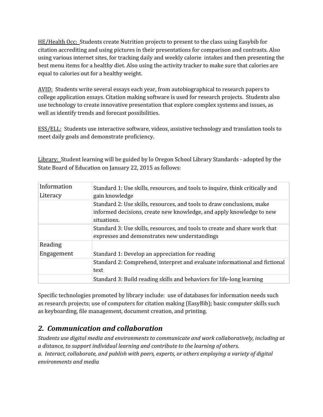HE/Health Occ: Students create Nutrition projects to present to the class using Easybib for citation accrediting and using pictures in their presentations for comparison and contrasts. Also using various internet sites, for tracking daily and weekly calorie intakes and then presenting the best menu items for a healthy diet. Also using the activity tracker to make sure that calories are equal to calories out for a healthy weight.

AVID: Students write several essays each year, from autobiographical to research papers to college application essays. Citation making software is used for research projects. Students also use technology to create innovative presentation that explore complex systems and issues, as well as identify trends and forecast possibilities.

ESS/ELL: Students use interactive software, videos, assistive technology and translation tools to meet daily goals and demonstrate proficiency.

Library: Student learning will be guided by lo Oregon School Library Standards - adopted by the State Board of Education on January 22, 2015 as follows:

| Information | Standard 1: Use skills, resources, and tools to inquire, think critically and |
|-------------|-------------------------------------------------------------------------------|
| Literacy    | gain knowledge                                                                |
|             | Standard 2: Use skills, resources, and tools to draw conclusions, make        |
|             | informed decisions, create new knowledge, and apply knowledge to new          |
|             | situations.                                                                   |
|             | Standard 3: Use skills, resources, and tools to create and share work that    |
|             | expresses and demonstrates new understandings                                 |
| Reading     |                                                                               |
| Engagement  | Standard 1: Develop an appreciation for reading                               |
|             | Standard 2: Comprehend, interpret and evaluate informational and fictional    |
|             | text                                                                          |
|             | Standard 3: Build reading skills and behaviors for life-long learning         |

Specific technologies promoted by library include: use of databases for information needs such as research projects; use of computers for citation making (EasyBib); basic computer skills such as keyboarding, file management, document creation, and printing.

### *2. Communication and collaboration*

*Students use digital media and environments to communicate and work collaboratively, including at a distance, to support individual learning and contribute to the learning of others. a. Interact, collaborate, and publish with peers, experts, or others employing a variety of digital environments and media*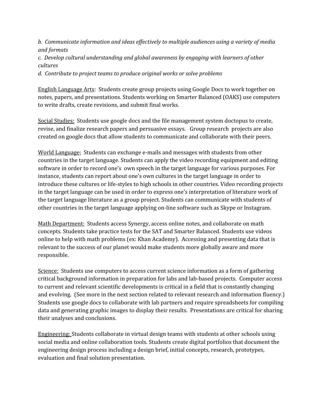*b. Communicate information and ideas ef ectively to multiple audiences using a variety of media and formats*

*c. Develop cultural understanding and global awareness by engaging with learners of other cultures*

*d. Contribute to project teams to produce original works or solve problems*

English Language Arts: Students create group projects using Google Docs to work together on notes, papers, and presentations. Students working on Smarter Balanced (OAKS) use computers to write drafts, create revisions, and submit final works.

Social Studies: Students use google docs and the file management system doctopus to create, revise, and finalize research papers and persuasive essays. Group research projects are also created on google docs that allow students to communicate and collaborate with their peers.

World Language: Students can exchange e-mails and messages with students from other countries in the target language. Students can apply the video recording equipment and editing software in order to record one's own speech in the target language for various purposes. For instance, students can report about one's own cultures in the target language in order to introduce these cultures or life-styles to high schools in other countries. Video recording projects in the target language can be used in order to express one's interpretation of literature work of the target language literature as a group project. Students can communicate with students of other countries in the target language applying on-line software such as Skype or Instagram.

Math Department: Students access Synergy, access online notes, and collaborate on math concepts. Students take practice tests for the SAT and Smarter Balanced. Students use videos online to help with math problems (ex: Khan Academy). Accessing and presenting data that is relevant to the success of our planet would make students more globally aware and more responsible.

Science: Students use computers to access current science information as a form of gathering critical background information in preparation for labs and lab-based projects. Computer access to current and relevant scientific developments is critical in a field that is constantly changing and evolving. (See more in the next section related to relevant research and information fluency.) Students use google docs to collaborate with lab partners and require spreadsheets for compiling data and generating graphic images to display their results. Presentations are critical for sharing their analyses and conclusions.

Engineering: Students collaborate in virtual design teams with students at other schools using social media and online collaboration tools. Students create digital portfolios that document the engineering design process including a design brief, initial concepts, research, prototypes, evaluation and final solution presentation.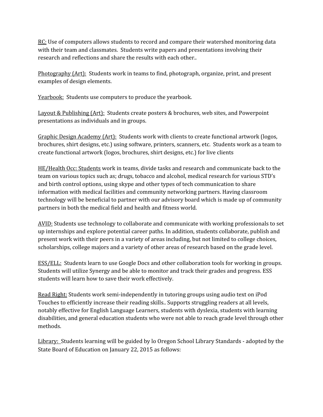RC: Use of computers allows students to record and compare their watershed monitoring data with their team and classmates. Students write papers and presentations involving their research and reflections and share the results with each other..

Photography (Art): Students work in teams to find, photograph, organize, print, and present examples of design elements.

Yearbook: Students use computers to produce the yearbook.

Layout & Publishing (Art): Students create posters & brochures, web sites, and Powerpoint presentations as individuals and in groups.

Graphic Design Academy (Art): Students work with clients to create functional artwork (logos, brochures, shirt designs, etc.) using software, printers, scanners, etc. Students work as a team to create functional artwork (logos, brochures, shirt designs, etc.) for live clients

HE/Health Occ: Students work in teams, divide tasks and research and communicate back to the team on various topics such as; drugs, tobacco and alcohol, medical research for various STD's and birth control options, using skype and other types of tech communication to share information with medical facilities and community networking partners. Having classroom technology will be beneficial to partner with our advisory board which is made up of community partners in both the medical field and health and fitness world.

AVID: Students use technology to collaborate and communicate with working professionals to set up internships and explore potential career paths. In addition, students collaborate, publish and present work with their peers in a variety of areas including, but not limited to college choices, scholarships, college majors and a variety of other areas of research based on the grade level.

ESS/ELL: Students learn to use Google Docs and other collaboration tools for working in groups. Students will utilize Synergy and be able to monitor and track their grades and progress. ESS students will learn how to save their work effectively.

Read Right: Students work semi-independently in tutoring groups using audio text on iPod Touches to efficiently increase their reading skills.. Supports struggling readers at all levels, notably effective for English Language Learners, students with dyslexia, students with learning disabilities, and general education students who were not able to reach grade level through other methods.

Library: Students learning will be guided by lo Oregon School Library Standards - adopted by the State Board of Education on January 22, 2015 as follows: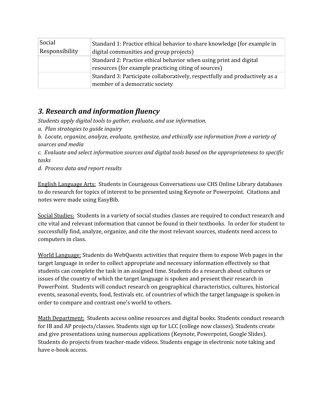| Social         | Standard 1: Practice ethical behavior to share knowledge (for example in    |
|----------------|-----------------------------------------------------------------------------|
| Responsibility | digital communities and group projects)                                     |
|                | Standard 2: Practice ethical behavior when using print and digital          |
|                | resources (for example practicing citing of sources)                        |
|                | Standard 3: Participate collaboratively, respectfully and productively as a |
|                | member of a democratic society                                              |

### *3. Research and information fluency*

*Students apply digital tools to gather, evaluate, and use information.*

*a. Plan strategies to guide inquiry*

*b. Locate, organize, analyze, evaluate, synthesize, and ethically use information from a variety of sources and media*

*c. Evaluate and select information sources and digital tools based on the appropriateness to specific tasks*

*d. Process data and report results*

English Language Arts: Students in Courageous Conversations use CHS Online Library databases to do research for topics of interest to be presented using Keynote or Powerpoint. Citations and notes were made using EasyBib.

Social Studies: Students in a variety of social studies classes are required to conduct research and cite vital and relevant information that cannot be found in their textbooks. In order for student to successfully find, analyze, organize, and cite the most relevant sources, students need access to computers in class.

World Language: Students do WebQuests activities that require them to expose Web pages in the target language in order to collect appropriate and necessary information effectively so that students can complete the task in an assigned time. Students do a research about cultures or issues of the country of which the target language is spoken and present their research in PowerPoint. Students will conduct research on geographical characteristics, cultures, historical events, seasonal events, food, festivals etc. of countries of which the target language is spoken in order to compare and contrast one's world to others.

Math Department: Students access online resources and digital books. Students conduct research for IB and AP projects/classes. Students sign up for LCC (college now classes). Students create and give presentations using numerous applications (Keynote, Powerpoint, Google Slides). Students do projects from teacher-made videos. Students engage in electronic note taking and have e-book access.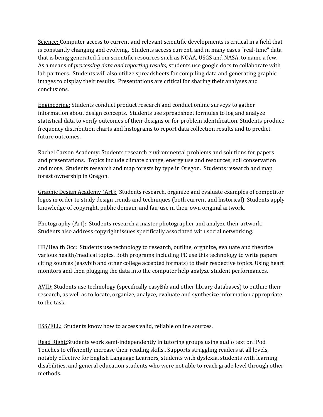Science: Computer access to current and relevant scientific developments is critical in a field that is constantly changing and evolving. Students access current, and in many cases "real-time" data that is being generated from scientific resources such as NOAA, USGS and NASA, to name a few. As a means of *processing data and reporting results,* students use google docs to collaborate with lab partners. Students will also utilize spreadsheets for compiling data and generating graphic images to display their results. Presentations are critical for sharing their analyses and conclusions.

Engineering: Students conduct product research and conduct online surveys to gather information about design concepts. Students use spreadsheet formulas to log and analyze statistical data to verify outcomes of their designs or for problem identification. Students produce frequency distribution charts and histograms to report data collection results and to predict future outcomes.

Rachel Carson Academy: Students research environmental problems and solutions for papers and presentations. Topics include climate change, energy use and resources, soil conservation and more. Students research and map forests by type in Oregon. Students research and map forest ownership in Oregon.

Graphic Design Academy (Art): Students research, organize and evaluate examples of competitor logos in order to study design trends and techniques (both current and historical). Students apply knowledge of copyright, public domain, and fair use in their own original artwork.

Photography (Art): Students research a master photographer and analyze their artwork. Students also address copyright issues specifically associated with social networking.

HE/Health Occ: Students use technology to research, outline, organize, evaluate and theorize various health/medical topics. Both programs including PE use this technology to write papers citing sources (easybib and other college accepted formats) to their respective topics. Using heart monitors and then plugging the data into the computer help analyze student performances.

AVID: Students use technology (specifically easyBib and other library databases) to outline their research, as well as to locate, organize, analyze, evaluate and synthesize information appropriate to the task.

ESS/ELL: Students know how to access valid, reliable online sources.

Read Right:Students work semi-independently in tutoring groups using audio text on iPod Touches to efficiently increase their reading skills.. Supports struggling readers at all levels, notably effective for English Language Learners, students with dyslexia, students with learning disabilities, and general education students who were not able to reach grade level through other methods.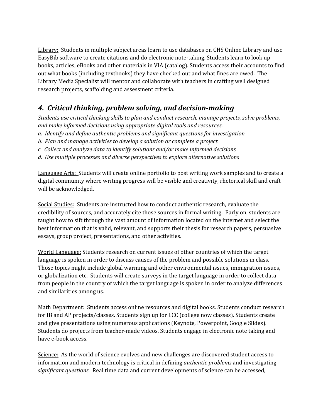Library: Students in multiple subject areas learn to use databases on CHS Online Library and use EasyBib software to create citations and do electronic note-taking. Students learn to look up books, articles, eBooks and other materials in VIA (catalog). Students access their accounts to find out what books (including textbooks) they have checked out and what fines are owed. The Library Media Specialist will mentor and collaborate with teachers in crafting well designed research projects, scaffolding and assessment criteria.

### *4. Critical thinking, problem solving, and decision-making*

*Students use critical thinking skills to plan and conduct research, manage projects, solve problems, and make informed decisions using appropriate digital tools and resources.*

- *a. Identify and define authentic problems and significant questions for investigation*
- *b. Plan and manage activities to develop a solution or complete a project*
- *c. Collect and analyze data to identify solutions and/or make informed decisions*
- *d. Use multiple processes and diverse perspectives to explore alternative solutions*

Language Arts: Students will create online portfolio to post writing work samples and to create a digital community where writing progress will be visible and creativity, rhetorical skill and craft will be acknowledged.

Social Studies: Students are instructed how to conduct authentic research, evaluate the credibility of sources, and accurately cite those sources in formal writing. Early on, students are taught how to sift through the vast amount of information located on the internet and select the best information that is valid, relevant, and supports their thesis for research papers, persuasive essays, group project, presentations, and other activities.

World Language: Students research on current issues of other countries of which the target language is spoken in order to discuss causes of the problem and possible solutions in class. Those topics might include global warming and other environmental issues, immigration issues, or globalization etc. Students will create surveys in the target language in order to collect data from people in the country of which the target language is spoken in order to analyze differences and similarities among us.

Math Department: Students access online resources and digital books. Students conduct research for IB and AP projects/classes. Students sign up for LCC (college now classes). Students create and give presentations using numerous applications (Keynote, Powerpoint, Google Slides). Students do projects from teacher-made videos. Students engage in electronic note taking and have e-book access.

Science: As the world of science evolves and new challenges are discovered student access to information and modern technology is critical in defining *authentic problems* and investigating *significant questions.* Real time data and current developments of science can be accessed,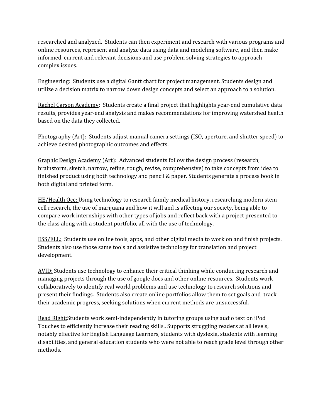researched and analyzed. Students can then experiment and research with various programs and online resources, represent and analyze data using data and modeling software, and then make informed, current and relevant decisions and use problem solving strategies to approach complex issues.

Engineering: Students use a digital Gantt chart for project management. Students design and utilize a decision matrix to narrow down design concepts and select an approach to a solution.

Rachel Carson Academy: Students create a final project that highlights year-end cumulative data results, provides year-end analysis and makes recommendations for improving watershed health based on the data they collected.

Photography (Art): Students adjust manual camera settings (ISO, aperture, and shutter speed) to achieve desired photographic outcomes and effects.

Graphic Design Academy (Art): Advanced students follow the design process (research, brainstorm, sketch, narrow, refine, rough, revise, comprehensive) to take concepts from idea to finished product using both technology and pencil & paper. Students generate a process book in both digital and printed form.

HE/Health Occ: Using technology to research family medical history, researching modern stem cell research, the use of marijuana and how it will and is affecting our society, being able to compare work internships with other types of jobs and reflect back with a project presented to the class along with a student portfolio, all with the use of technology.

ESS/ELL: Students use online tools, apps, and other digital media to work on and finish projects. Students also use those same tools and assistive technology for translation and project development.

AVID: Students use technology to enhance their critical thinking while conducting research and managing projects through the use of google docs and other online resources. Students work collaboratively to identify real world problems and use technology to research solutions and present their findings. Students also create online portfolios allow them to set goals and track their academic progress, seeking solutions when current methods are unsuccessful.

Read Right:Students work semi-independently in tutoring groups using audio text on iPod Touches to efficiently increase their reading skills.. Supports struggling readers at all levels, notably effective for English Language Learners, students with dyslexia, students with learning disabilities, and general education students who were not able to reach grade level through other methods.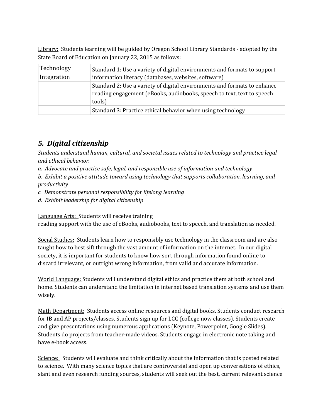Library: Students learning will be guided by Oregon School Library Standards - adopted by the State Board of Education on January 22, 2015 as follows:

| Technology  | Standard 1: Use a variety of digital environments and formats to support                                                                                     |
|-------------|--------------------------------------------------------------------------------------------------------------------------------------------------------------|
| Integration | information literacy (databases, websites, software)                                                                                                         |
|             | Standard 2: Use a variety of digital environments and formats to enhance<br>reading engagement (eBooks, audiobooks, speech to text, text to speech<br>tools) |
|             | Standard 3: Practice ethical behavior when using technology                                                                                                  |

### *5. Digital citizenship*

*Students understand human, cultural, and societal issues related to technology and practice legal and ethical behavior.*

*a. Advocate and practice safe, legal, and responsible use of information and technology*

*b. Exhibit a positive attitude toward using technology that supports collaboration, learning, and productivity*

*c. Demonstrate personal responsibility for lifelong learning*

*d. Exhibit leadership for digital citizenship*

Language Arts: Students will receive training

reading support with the use of eBooks, audiobooks, text to speech, and translation as needed.

Social Studies: Students learn how to responsibly use technology in the classroom and are also taught how to best sift through the vast amount of information on the internet. In our digital society, it is important for students to know how sort through information found online to discard irrelevant, or outright wrong information, from valid and accurate information.

World Language: Students will understand digital ethics and practice them at both school and home. Students can understand the limitation in internet based translation systems and use them wisely.

Math Department: Students access online resources and digital books. Students conduct research for IB and AP projects/classes. Students sign up for LCC (college now classes). Students create and give presentations using numerous applications (Keynote, Powerpoint, Google Slides). Students do projects from teacher-made videos. Students engage in electronic note taking and have e-book access.

Science: Students will evaluate and think critically about the information that is posted related to science. With many science topics that are controversial and open up conversations of ethics, slant and even research funding sources, students will seek out the best, current relevant science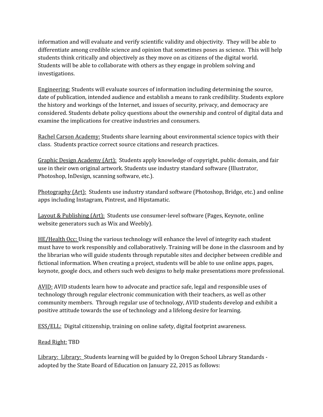information and will evaluate and verify scientific validity and objectivity. They will be able to differentiate among credible science and opinion that sometimes poses as science. This will help students think critically and objectively as they move on as citizens of the digital world. Students will be able to collaborate with others as they engage in problem solving and investigations.

Engineering: Students will evaluate sources of information including determining the source, date of publication, intended audience and establish a means to rank credibility. Students explore the history and workings of the Internet, and issues of security, privacy, and democracy are considered. Students debate policy questions about the ownership and control of digital data and examine the implications for creative industries and consumers.

Rachel Carson Academy: Students share learning about environmental science topics with their class. Students practice correct source citations and research practices.

Graphic Design Academy (Art): Students apply knowledge of copyright, public domain, and fair use in their own original artwork. Students use industry standard software (Illustrator, Photoshop, InDesign, scanning software, etc.).

Photography (Art): Students use industry standard software (Photoshop, Bridge, etc.) and online apps including Instagram, Pintrest, and Hipstamatic.

Layout & Publishing (Art): Students use consumer-level software (Pages, Keynote, online website generators such as Wix and Weebly).

HE/Health Occ: Using the various technology will enhance the level of integrity each student must have to work responsibly and collaboratively. Training will be done in the classroom and by the librarian who will guide students through reputable sites and decipher between credible and fictional information. When creating a project, students will be able to use online apps, pages, keynote, google docs, and others such web designs to help make presentations more professional.

AVID: AVID students learn how to advocate and practice safe, legal and responsible uses of technology through regular electronic communication with their teachers, as well as other community members. Through regular use of technology, AVID students develop and exhibit a positive attitude towards the use of technology and a lifelong desire for learning.

ESS/ELL: Digital citizenship, training on online safety, digital footprint awareness.

#### Read Right: TBD

Library: Library: Students learning will be guided by lo Oregon School Library Standards adopted by the State Board of Education on January 22, 2015 as follows: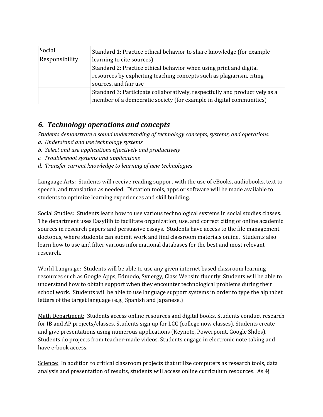| Social<br>Responsibility | Standard 1: Practice ethical behavior to share knowledge (for example<br>learning to cite sources)                                                                   |
|--------------------------|----------------------------------------------------------------------------------------------------------------------------------------------------------------------|
|                          | Standard 2: Practice ethical behavior when using print and digital<br>resources by expliciting teaching concepts such as plagiarism, citing<br>sources, and fair use |
|                          | Standard 3: Participate collaboratively, respectfully and productively as a<br>member of a democratic society (for example in digital communities)                   |

### *6. Technology operations and concepts*

*Students demonstrate a sound understanding of technology concepts, systems, and operations.*

- *a. Understand and use technology systems*
- *b. Select and use applications ef ectively and productively*
- *c. Troubleshoot systems and applications*
- *d. Transfer current knowledge to learning of new technologies*

Language Arts: Students will receive reading support with the use of eBooks, audiobooks, text to speech, and translation as needed. Dictation tools, apps or software will be made available to students to optimize learning experiences and skill building.

Social Studies: Students learn how to use various technological systems in social studies classes. The department uses EasyBib to facilitate organization, use, and correct citing of online academic sources in research papers and persuasive essays. Students have access to the file management doctopus, where students can submit work and find classroom materials online. Students also learn how to use and filter various informational databases for the best and most relevant research.

World Language: Students will be able to use any given internet based classroom learning resources such as Google Apps, Edmodo, Synergy, Class Website fluently. Students will be able to understand how to obtain support when they encounter technological problems during their school work. Students will be able to use language support systems in order to type the alphabet letters of the target language (e.g., Spanish and Japanese.)

Math Department: Students access online resources and digital books. Students conduct research for IB and AP projects/classes. Students sign up for LCC (college now classes). Students create and give presentations using numerous applications (Keynote, Powerpoint, Google Slides). Students do projects from teacher-made videos. Students engage in electronic note taking and have e-book access.

Science: In addition to critical classroom projects that utilize computers as research tools, data analysis and presentation of results, students will access online curriculum resources. As 4j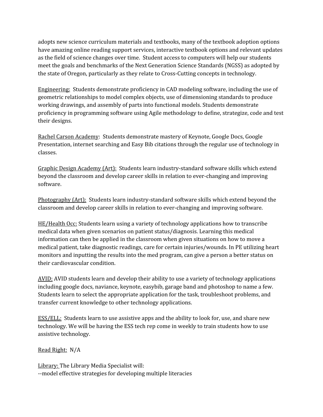adopts new science curriculum materials and textbooks, many of the textbook adoption options have amazing online reading support services, interactive textbook options and relevant updates as the field of science changes over time. Student access to computers will help our students meet the goals and benchmarks of the Next Generation Science Standards (NGSS) as adopted by the state of Oregon, particularly as they relate to Cross-Cutting concepts in technology.

Engineering: Students demonstrate proficiency in CAD modeling software, including the use of geometric relationships to model complex objects, use of dimensioning standards to produce working drawings, and assembly of parts into functional models. Students demonstrate proficiency in programming software using Agile methodology to define, strategize, code and test their designs.

Rachel Carson Academy: Students demonstrate mastery of Keynote, Google Docs, Google Presentation, internet searching and Easy Bib citations through the regular use of technology in classes.

Graphic Design Academy (Art): Students learn industry-standard software skills which extend beyond the classroom and develop career skills in relation to ever-changing and improving software.

Photography (Art): Students learn industry-standard software skills which extend beyond the classroom and develop career skills in relation to ever-changing and improving software.

HE/Health Occ: Students learn using a variety of technology applications how to transcribe medical data when given scenarios on patient status/diagnosis. Learning this medical information can then be applied in the classroom when given situations on how to move a medical patient, take diagnostic readings, care for certain injuries/wounds. In PE utilizing heart monitors and inputting the results into the med program, can give a person a better status on their cardiovascular condition.

AVID: AVID students learn and develop their ability to use a variety of technology applications including google docs, naviance, keynote, easybib, garage band and photoshop to name a few. Students learn to select the appropriate application for the task, troubleshoot problems, and transfer current knowledge to other technology applications.

**ESS/ELL:** Students learn to use assistive apps and the ability to look for, use, and share new technology. We will be having the ESS tech rep come in weekly to train students how to use assistive technology.

Read Right: N/A

Library: The Library Media Specialist will: --model effective strategies for developing multiple literacies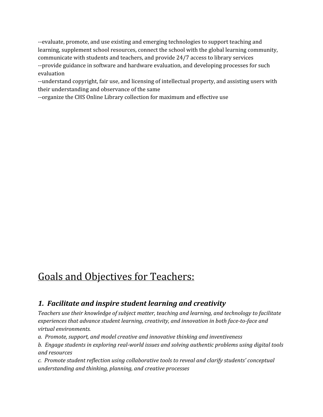--evaluate, promote, and use existing and emerging technologies to support teaching and learning, supplement school resources, connect the school with the global learning community, communicate with students and teachers, and provide 24/7 access to library services --provide guidance in software and hardware evaluation, and developing processes for such evaluation

--understand copyright, fair use, and licensing of intellectual property, and assisting users with their understanding and observance of the same

--organize the CHS Online Library collection for maximum and effective use

# Goals and Objectives for Teachers:

### *1. Facilitate and inspire student learning and creativity*

*Teachers use their knowledge of subject matter, teaching and learning, and technology to facilitate experiences that advance student learning, creativity, and innovation in both face-to-face and virtual environments.*

*a. Promote, support, and model creative and innovative thinking and inventiveness*

*b. Engage students in exploring real-world issues and solving authentic problems using digital tools and resources*

*c. Promote student reflection using collaborative tools to reveal and clarify students' conceptual understanding and thinking, planning, and creative processes*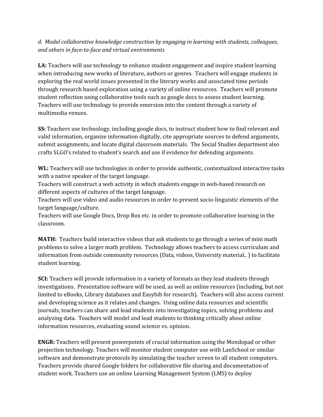*d. Model collaborative knowledge construction by engaging in learning with students, colleagues, and others in face-to-face and virtual environments*

**LA:** Teachers will use technology to enhance student engagement and inspire student learning when introducing new works of literature, authors or genres. Teachers will engage students in exploring the real world issues presented in the literary works and associated time periods through research based exploration using a variety of online resources. Teachers will promote student reflection using collaborative tools such as google docs to assess student learning. Teachers will use technology to provide emersion into the content through a variety of multimedia venues.

**SS:** Teachers use technology, including google docs, to instruct student how to find relevant and valid information, organize information digitally, cite appropriate sources to defend arguments, submit assignments, and locate digital classroom materials. The Social Studies department also crafts SLGO's related to student's search and use if evidence for defending arguments.

**WL:** Teachers will use technologies in order to provide authentic, contextualized interactive tasks with a native speaker of the target language.

Teachers will construct a web activity in which students engage in web-based research on different aspects of cultures of the target language.

Teachers will use video and audio resources in order to present socio-linguistic elements of the target language/culture.

Teachers will use Google Docs, Drop Box etc. in order to promote collaborative learning in the classroom.

**MATH:** Teachers build interactive videos that ask students to go through a series of mini math problems to solve a larger math problem. Technology allows teachers to access curriculum and information from outside community resources (Data, videos, University material.. ) to facilitate student learning.

**SCI:**Teachers will provide information in a variety of formats as they lead students through investigations. Presentation software will be used, as well as online resources (including, but not limited to eBooks, Library databases and Easybib for research). Teachers will also access current and developing science as it relates and changes. Using online data resources and scientific journals, teachers can share and lead students into investigating topics, solving problems and analyzing data. Teachers will model and lead students to thinking critically about online information resources, evaluating sound science vs. opinion.

**ENGR:** Teachers will present powerpoints of crucial information using the Mondopad or other projection technology. Teachers will monitor student computer use with LanSchool or similar software and demonstrate protocols by simulating the teacher screen to all student computers. Teachers provide shared Google folders for collaborative file sharing and documentation of student work. Teachers use an online Learning Management System (LMS) to deploy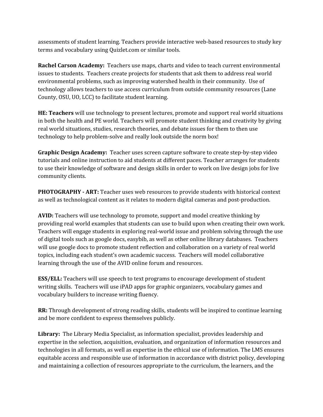assessments of student learning. Teachers provide interactive web-based resources to study key terms and vocabulary using Quizlet.com or similar tools.

**Rachel Carson Academy:** Teachers use maps, charts and video to teach current environmental issues to students. Teachers create projects for students that ask them to address real world environmental problems, such as improving watershed health in their community. Use of technology allows teachers to use access curriculum from outside community resources (Lane County, OSU, UO, LCC) to facilitate student learning.

**HE: Teachers** will use technology to present lectures, promote and support real world situations in both the health and PE world. Teachers will promote student thinking and creativity by giving real world situations, studies, research theories, and debate issues for them to then use technology to help problem-solve and really look outside the norm box!

**Graphic Design Academy:** Teacher uses screen capture software to create step-by-step video tutorials and online instruction to aid students at different paces. Teacher arranges for students to use their knowledge of software and design skills in order to work on live design jobs for live community clients.

**PHOTOGRAPHY - ART:** Teacher uses web resources to provide students with historical context as well as technological content as it relates to modern digital cameras and post-production.

**AVID:** Teachers will use technology to promote, support and model creative thinking by providing real world examples that students can use to build upon when creating their own work. Teachers will engage students in exploring real-world issue and problem solving through the use of digital tools such as google docs, easybib, as well as other online library databases. Teachers will use google docs to promote student reflection and collaboration on a variety of real world topics, including each student's own academic success. Teachers will model collaborative learning through the use of the AVID online forum and resources.

**ESS/ELL:** Teachers will use speech to text programs to encourage development of student writing skills. Teachers will use iPAD apps for graphic organizers, vocabulary games and vocabulary builders to increase writing fluency.

**RR:** Through development of strong reading skills, students will be inspired to continue learning and be more confident to express themselves publicly.

**Library:** The Library Media Specialist, as information specialist, provides leadership and expertise in the selection, acquisition, evaluation, and organization of information resources and technologies in all formats, as well as expertise in the ethical use of information. The LMS ensures equitable access and responsible use of information in accordance with district policy, developing and maintaining a collection of resources appropriate to the curriculum, the learners, and the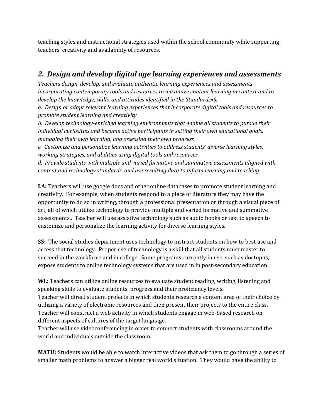teaching styles and instructional strategies used within the school community while supporting teachers' creativity and availability of resources.

### *2. Design and develop digital age learning experiences and assessments*

*Teachers design, develop, and evaluate authentic learning experiences and assessments incorporating contemporary tools and resources to maximize content learning in context and to develop the knowledge, skills, and attitudes identified in the Standards•S.*

*a. Design or adapt relevant learning experiences that incorporate digital tools and resources to promote student learning and creativity*

*b. Develop technology-enriched learning environments that enable all students to pursue their individual curiosities and become active participants in setting their own educational goals, managing their own learning, and assessing their own progress*

*c. Customize and personalize learning activities to address students' diverse learning styles, working strategies, and abilities using digital tools and resources*

*d. Provide students with multiple and varied formative and summative assessments aligned with content and technology standards, and use resulting data to inform learning and teaching*

**LA:** Teachers will use google docs and other online databases to promote student learning and creativity. For example, when students respond to a piece of literature they may have the opportunity to do so in writing, through a professional presentation or through a visual piece of art, all of which utilize technology to provide multiple and varied formative and summative assessments.. Teacher will use assistive technology such as audio books or text to speech to customize and personalize the learning activity for diverse learning styles.

**SS:** The social studies department uses technology to instruct students on how to best use and access that technology. Proper use of technology is a skill that all students must master to succeed in the workforce and in college. Some programs currently in use, such as doctopus, expose students to online technology systems that are used in in post-secondary education.

**WL:** Teachers can utilize online resources to evaluate student reading, writing, listening and speaking skills to evaluate students' progress and their proficiency levels.

Teacher will direct student projects in which students research a content area of their choice by utilizing a variety of electronic resources and then present their projects to the entire class. Teacher will construct a web activity in which students engage in web-based research on different aspects of cultures of the target language.

Teacher will use videoconferencing in order to connect students with classrooms around the world and individuals outside the classroom.

**MATH:** Students would be able to watch interactive videos that ask them to go through a series of smaller math problems to answer a bigger real world situation. They would have the ability to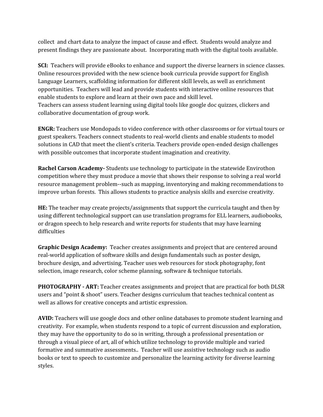collect and chart data to analyze the impact of cause and effect. Students would analyze and present findings they are passionate about. Incorporating math with the digital tools available.

**SCI:** Teachers will provide eBooks to enhance and support the diverse learners in science classes. Online resources provided with the new science book curricula provide support for English Language Learners, scaffolding information for different skill levels, as well as enrichment opportunities. Teachers will lead and provide students with interactive online resources that enable students to explore and learn at their own pace and skill level. Teachers can assess student learning using digital tools like google doc quizzes, clickers and collaborative documentation of group work.

**ENGR:** Teachers use Mondopads to video conference with other classrooms or for virtual tours or guest speakers. Teachers connect students to real-world clients and enable students to model solutions in CAD that meet the client's criteria. Teachers provide open-ended design challenges with possible outcomes that incorporate student imagination and creativity.

**Rachel Carson Academy-** Students use technology to participate in the statewide Envirothon competition where they must produce a movie that shows their response to solving a real world resource management problem--such as mapping, inventorying and making recommendations to improve urban forests. This allows students to practice analysis skills and exercise creativity.

**HE:** The teacher may create projects/assignments that support the curricula taught and then by using different technological support can use translation programs for ELL learners, audiobooks, or dragon speech to help research and write reports for students that may have learning difficulties

**Graphic Design Academy:** Teacher creates assignments and project that are centered around real-world application of software skills and design fundamentals such as poster design, brochure design, and advertising. Teacher uses web resources for stock photography, font selection, image research, color scheme planning, software & technique tutorials.

**PHOTOGRAPHY - ART:** Teacher creates assignments and project that are practical for both DLSR users and "point & shoot" users. Teacher designs curriculum that teaches technical content as well as allows for creative concepts and artistic expression.

**AVID:** Teachers will use google docs and other online databases to promote student learning and creativity. For example, when students respond to a topic of current discussion and exploration, they may have the opportunity to do so in writing, through a professional presentation or through a visual piece of art, all of which utilize technology to provide multiple and varied formative and summative assessments.. Teacher will use assistive technology such as audio books or text to speech to customize and personalize the learning activity for diverse learning styles.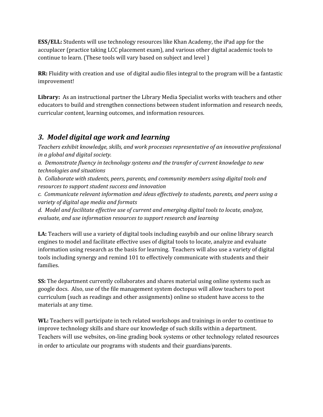**ESS/ELL:** Students will use technology resources like Khan Academy, the iPad app for the accuplacer (practice taking LCC placement exam), and various other digital academic tools to continue to learn. (These tools will vary based on subject and level )

**RR:** Fluidity with creation and use of digital audio files integral to the program will be a fantastic improvement!

**Library:** As an instructional partner the Library Media Specialist works with teachers and other educators to build and strengthen connections between student information and research needs, curricular content, learning outcomes, and information resources.

### *3. Model digital age work and learning*

*Teachers exhibit knowledge, skills, and work processes representative of an innovative professional in a global and digital society.*

*a. Demonstrate fluency in technology systems and the transfer of current knowledge to new technologies and situations*

*b. Collaborate with students, peers, parents, and community members using digital tools and resources to support student success and innovation*

*c. Communicate relevant information and ideas ef ectively to students, parents, and peers using a variety of digital age media and formats*

*d. Model and facilitate ef ective use of current and emerging digital tools to locate, analyze, evaluate, and use information resources to support research and learning*

**LA:** Teachers will use a variety of digital tools including easybib and our online library search engines to model and facilitate effective uses of digital tools to locate, analyze and evaluate information using research as the basis for learning. Teachers will also use a variety of digital tools including synergy and remind 101 to effectively communicate with students and their families.

**SS:** The department currently collaborates and shares material using online systems such as google docs. Also, use of the file management system doctopus will allow teachers to post curriculum (such as readings and other assignments) online so student have access to the materials at any time.

**WL:** Teachers will participate in tech related workshops and trainings in order to continue to improve technology skills and share our knowledge of such skills within a department. Teachers will use websites, on-line grading book systems or other technology related resources in order to articulate our programs with students and their guardians/parents.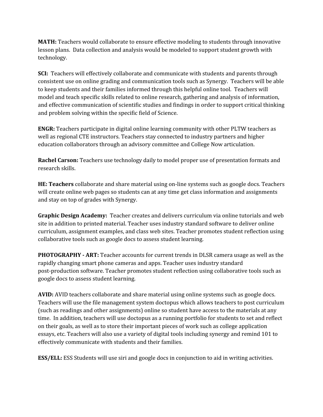**MATH:** Teachers would collaborate to ensure effective modeling to students through innovative lesson plans. Data collection and analysis would be modeled to support student growth with technology.

**SCI:** Teachers will effectively collaborate and communicate with students and parents through consistent use on online grading and communication tools such as Synergy. Teachers will be able to keep students and their families informed through this helpful online tool. Teachers will model and teach specific skills related to online research, gathering and analysis of information, and effective communication of scientific studies and findings in order to support critical thinking and problem solving within the specific field of Science.

**ENGR:** Teachers participate in digital online learning community with other PLTW teachers as well as regional CTE instructors. Teachers stay connected to industry partners and higher education collaborators through an advisory committee and College Now articulation.

**Rachel Carson:** Teachers use technology daily to model proper use of presentation formats and research skills.

**HE: Teachers** collaborate and share material using on-line systems such as google docs. Teachers will create online web pages so students can at any time get class information and assignments and stay on top of grades with Synergy.

**Graphic Design Academy:** Teacher creates and delivers curriculum via online tutorials and web site in addition to printed material. Teacher uses industry standard software to deliver online curriculum, assignment examples, and class web sites. Teacher promotes student reflection using collaborative tools such as google docs to assess student learning.

**PHOTOGRAPHY - ART:** Teacher accounts for current trends in DLSR camera usage as well as the rapidly changing smart phone cameras and apps. Teacher uses industry standard post-production software. Teacher promotes student reflection using collaborative tools such as google docs to assess student learning.

**AVID:** AVID teachers collaborate and share material using online systems such as google docs. Teachers will use the file management system doctopus which allows teachers to post curriculum (such as readings and other assignments) online so student have access to the materials at any time. In addition, teachers will use doctopus as a running portfolio for students to set and reflect on their goals, as well as to store their important pieces of work such as college application essays, etc. Teachers will also use a variety of digital tools including synergy and remind 101 to effectively communicate with students and their families.

**ESS/ELL:** ESS Students will use siri and google docs in conjunction to aid in writing activities.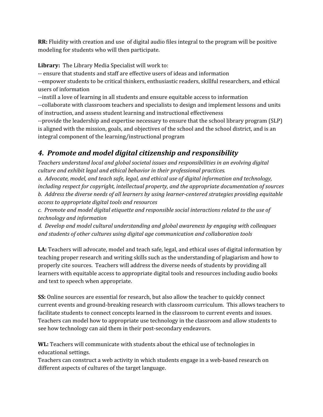**RR:** Fluidity with creation and use of digital audio files integral to the program will be positive modeling for students who will then participate.

**Library:** The Library Media Specialist will work to:

-- ensure that students and staff are effective users of ideas and information

--empower students to be critical thinkers, enthusiastic readers, skillful researchers, and ethical users of information

--instill a love of learning in all students and ensure equitable access to information

--collaborate with classroom teachers and specialists to design and implement lessons and units of instruction, and assess student learning and instructional effectiveness

--provide the leadership and expertise necessary to ensure that the school library program (SLP) is aligned with the mission, goals, and objectives of the school and the school district, and is an integral component of the learning/instructional program

### *4. Promote and model digital citizenship and responsibility*

*Teachers understand local and global societal issues and responsibilities in an evolving digital culture and exhibit legal and ethical behavior in their professional practices.*

*a. Advocate, model, and teach safe, legal, and ethical use of digital information and technology, including respect for copyright, intellectual property, and the appropriate documentation of sources b. Address the diverse needs of all learners by using learner-centered strategies providing equitable access to appropriate digital tools and resources*

*c. Promote and model digital etiquette and responsible social interactions related to the use of technology and information*

*d. Develop and model cultural understanding and global awareness by engaging with colleagues and students of other cultures using digital age communication and collaboration tools*

**LA:** Teachers will advocate, model and teach safe, legal, and ethical uses of digital information by teaching proper research and writing skills such as the understanding of plagiarism and how to properly cite sources. Teachers will address the diverse needs of students by providing all learners with equitable access to appropriate digital tools and resources including audio books and text to speech when appropriate.

**SS:** Online sources are essential for research, but also allow the teacher to quickly connect current events and ground-breaking research with classroom curriculum. This allows teachers to facilitate students to connect concepts learned in the classroom to current events and issues. Teachers can model how to appropriate use technology in the classroom and allow students to see how technology can aid them in their post-secondary endeavors.

**WL:** Teachers will communicate with students about the ethical use of technologies in educational settings.

Teachers can construct a web activity in which students engage in a web-based research on different aspects of cultures of the target language.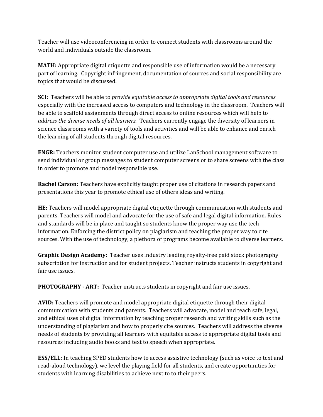Teacher will use videoconferencing in order to connect students with classrooms around the world and individuals outside the classroom.

**MATH:**Appropriate digital etiquette and responsible use of information would be a necessary part of learning. Copyright infringement, documentation of sources and social responsibility are topics that would be discussed.

**SCI:** Teachers will be able to *provide equitable access to appropriate digital tools and resources* especially with the increased access to computers and technology in the classroom. Teachers will be able to scaffold assignments through direct access to online resources which will help to *address the diverse needs of all learners.* Teachers currently engage the diversity of learners in science classrooms with a variety of tools and activities and will be able to enhance and enrich the learning of all students through digital resources.

**ENGR:** Teachers monitor student computer use and utilize LanSchool management software to send individual or group messages to student computer screens or to share screens with the class in order to promote and model responsible use.

**Rachel Carson:** Teachers have explicitly taught proper use of citations in research papers and presentations this year to promote ethical use of others ideas and writing.

**HE:** Teachers will model appropriate digital etiquette through communication with students and parents. Teachers will model and advocate for the use of safe and legal digital information. Rules and standards will be in place and taught so students know the proper way use the tech information. Enforcing the district policy on plagiarism and teaching the proper way to cite sources. With the use of technology, a plethora of programs become available to diverse learners.

**Graphic Design Academy:** Teacher uses industry leading royalty-free paid stock photography subscription for instruction and for student projects. Teacher instructs students in copyright and fair use issues.

**PHOTOGRAPHY - ART:** Teacher instructs students in copyright and fair use issues.

**AVID:** Teachers will promote and model appropriate digital etiquette through their digital communication with students and parents. Teachers will advocate, model and teach safe, legal, and ethical uses of digital information by teaching proper research and writing skills such as the understanding of plagiarism and how to properly cite sources. Teachers will address the diverse needs of students by providing all learners with equitable access to appropriate digital tools and resources including audio books and text to speech when appropriate.

**ESS/ELL: I**n teaching SPED students how to access assistive technology (such as voice to text and read-aloud technology), we level the playing field for all students, and create opportunities for students with learning disabilities to achieve next to to their peers.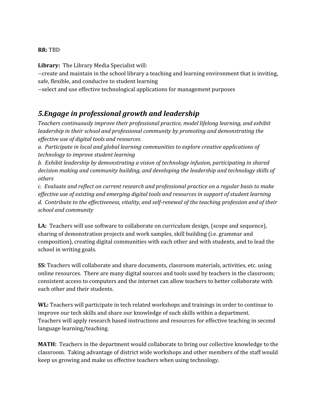#### **RR:** TBD

**Library:** The Library Media Specialist will:

--create and maintain in the school library a teaching and learning environment that is inviting, safe, flexible, and conducive to student learning

--select and use effective technological applications for management purposes

### *5.Engage in professional growth and leadership*

*Teachers continuously improve their professional practice, model lifelong learning, and exhibit leadership in their school and professional community by promoting and demonstrating the ef ective use of digital tools and resources.*

*a. Participate in local and global learning communities to explore creative applications of technology to improve student learning*

*b. Exhibit leadership by demonstrating a vision of technology infusion, participating in shared decision making and community building, and developing the leadership and technology skills of others*

*c. Evaluate and reflect on current research and professional practice on a regular basis to make ef ective use of existing and emerging digital tools and resources in support of student learning d. Contribute to the ef ectiveness, vitality, and self-renewal of the teaching profession and of their school and community*

**LA:** Teachers will use software to collaborate on curriculum design, (scope and sequence), sharing of demonstration projects and work samples, skill building (i.e. grammar and composition), creating digital communities with each other and with students, and to lead the school in writing goals.

**SS:** Teachers will collaborate and share documents, classroom materials, activities, etc. using online resources. There are many digital sources and tools used by teachers in the classroom; consistent access to computers and the internet can allow teachers to better collaborate with each other and their students.

**WL:** Teachers will participate in tech related workshops and trainings in order to continue to improve our tech skills and share our knowledge of such skills within a department. Teachers will apply research based instructions and resources for effective teaching in second language learning/teaching.

**MATH:** Teachers in the department would collaborate to bring our collective knowledge to the classroom. Taking advantage of district wide workshops and other members of the staff would keep us growing and make us effective teachers when using technology.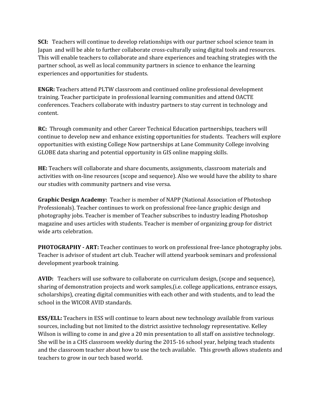**SCI:** Teachers will continue to develop relationships with our partner school science team in Japan and will be able to further collaborate cross-culturally using digital tools and resources. This will enable teachers to collaborate and share experiences and teaching strategies with the partner school, as well as local community partners in science to enhance the learning experiences and opportunities for students.

**ENGR:** Teachers attend PLTW classroom and continued online professional development training. Teacher participate in professional learning communities and attend OACTE conferences. Teachers collaborate with industry partners to stay current in technology and content.

**RC:**Through community and other Career Technical Education partnerships, teachers will continue to develop new and enhance existing opportunities for students. Teachers will explore opportunities with existing College Now partnerships at Lane Community College involving GLOBE data sharing and potential opportunity in GIS online mapping skills.

**HE:** Teachers will collaborate and share documents, assignments, classroom materials and activities with on-line resources (scope and sequence). Also we would have the ability to share our studies with community partners and vise versa.

**Graphic Design Academy:** Teacher is member of NAPP (National Association of Photoshop Professionals). Teacher continues to work on professional free-lance graphic design and photography jobs. Teacher is member of Teacher subscribes to industry leading Photoshop magazine and uses articles with students. Teacher is member of organizing group for district wide arts celebration.

**PHOTOGRAPHY - ART:** Teacher continues to work on professional free-lance photography jobs. Teacher is advisor of student art club. Teacher will attend yearbook seminars and professional development yearbook training.

**AVID:** Teachers will use software to collaborate on curriculum design, (scope and sequence), sharing of demonstration projects and work samples,(i.e. college applications, entrance essays, scholarships), creating digital communities with each other and with students, and to lead the school in the WICOR AVID standards.

**ESS/ELL:** Teachers in ESS will continue to learn about new technology available from various sources, including but not limited to the district assistive technology representative. Kelley Wilson is willing to come in and give a 20 min presentation to all staff on assistive technology. She will be in a CHS classroom weekly during the 2015-16 school year, helping teach students and the classroom teacher about how to use the tech available. This growth allows students and teachers to grow in our tech based world.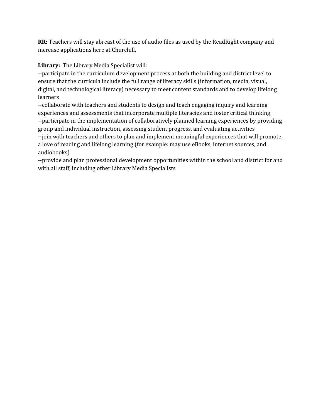**RR:**Teachers will stay abreast of the use of audio files as used by the ReadRight company and increase applications here at Churchill.

**Library:** The Library Media Specialist will:

--participate in the curriculum development process at both the building and district level to ensure that the curricula include the full range of literacy skills (information, media, visual, digital, and technological literacy) necessary to meet content standards and to develop lifelong learners

--collaborate with teachers and students to design and teach engaging inquiry and learning experiences and assessments that incorporate multiple literacies and foster critical thinking --participate in the implementation of collaboratively planned learning experiences by providing group and individual instruction, assessing student progress, and evaluating activities --join with teachers and others to plan and implement meaningful experiences that will promote a love of reading and lifelong learning (for example: may use eBooks, internet sources, and audiobooks)

--provide and plan professional development opportunities within the school and district for and with all staff, including other Library Media Specialists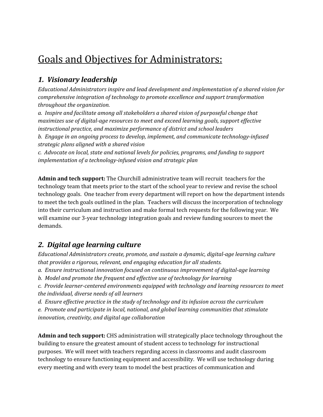# Goals and Objectives for Administrators:

### *1. Visionary leadership*

*Educational Administrators inspire and lead development and implementation of a shared vision for comprehensive integration of technology to promote excellence and support transformation throughout the organization.*

*a. Inspire and facilitate among all stakeholders a shared vision of purposeful change that maximizes use of digital-age resources to meet and exceed learning goals, support ef ective instructional practice, and maximize performance of district and school leaders*

*b. Engage in an ongoing process to develop, implement, and communicate technology-infused strategic plans aligned with a shared vision*

*c. Advocate on local, state and national levels for policies, programs, and funding to support implementation of a technology-infused vision and strategic plan*

**Admin and tech support:** The Churchill administrative team will recruit teachers for the technology team that meets prior to the start of the school year to review and revise the school technology goals. One teacher from every department will report on how the department intends to meet the tech goals outlined in the plan. Teachers will discuss the incorporation of technology into their curriculum and instruction and make formal tech requests for the following year. We will examine our 3-year technology integration goals and review funding sources to meet the demands.

### *2. Digital age learning culture*

*Educational Administrators create, promote, and sustain a dynamic, digital-age learning culture that provides a rigorous, relevant, and engaging education for all students.*

- *a. Ensure instructional innovation focused on continuous improvement of digital-age learning*
- *b. Model and promote the frequent and ef ective use of technology for learning*

*c. Provide learner-centered environments equipped with technology and learning resources to meet the individual, diverse needs of all learners*

*d. Ensure ef ective practice in the study of technology and its infusion across the curriculum*

*e. Promote and participate in local, national, and global learning communities that stimulate innovation, creativity, and digital age collaboration*

**Admin and tech support:** CHS administration will strategically place technology throughout the building to ensure the greatest amount of student access to technology for instructional purposes. We will meet with teachers regarding access in classrooms and audit classroom technology to ensure functioning equipment and accessibility. We will use technology during every meeting and with every team to model the best practices of communication and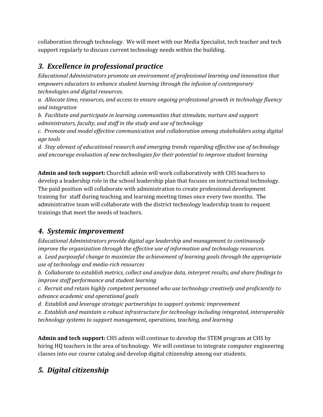collaboration through technology. We will meet with our Media Specialist, tech teacher and tech support regularly to discuss current technology needs within the building.

### *3. Excellence in professional practice*

*Educational Administrators promote an environment of professional learning and innovation that empowers educators to enhance student learning through the infusion of contemporary technologies and digital resources.*

*a. Allocate time, resources, and access to ensure ongoing professional growth in technology fluency and integration*

*b. Facilitate and participate in learning communities that stimulate, nurture and support administrators, faculty, and staf in the study and use of technology*

*c. Promote and model ef ective communication and collaboration among stakeholders using digital age tools*

*d. Stay abreast of educational research and emerging trends regarding ef ective use of technology and encourage evaluation of new technologies for their potential to improve student learning*

**Admin and tech support:** Churchill admin will work collaboratively with CHS teachers to develop a leadership role in the school leadership plan that focuses on instructional technology. The paid position will collaborate with administration to create professional development training for staff during teaching and learning meeting times once every two months. The administrative team will collaborate with the district technology leadership team to request trainings that meet the needs of teachers.

### *4. Systemic improvement*

*Educational Administrators provide digital age leadership and management to continuously improve the organization through the ef ective use of information and technology resources. a. Lead purposeful change to maximize the achievement of learning goals through the appropriate use of technology and media-rich resources*

*b. Collaborate to establish metrics, collect and analyze data, interpret results, and share findings to improve staf performance and student learning*

*c. Recruit and retain highly competent personnel who use technology creatively and proficiently to advance academic and operational goals*

*d. Establish and leverage strategic partnerships to support systemic improvement*

*e. Establish and maintain a robust infrastructure for technology including integrated, interoperable technology systems to support management, operations, teaching, and learning*

**Admin and tech support:**CHS admin will continue to develop the STEM program at CHS by hiring HQ teachers in the area of technology. We will continue to integrate computer engineering classes into our course catalog and develop digital citizenship among our students.

## *5. Digital citizenship*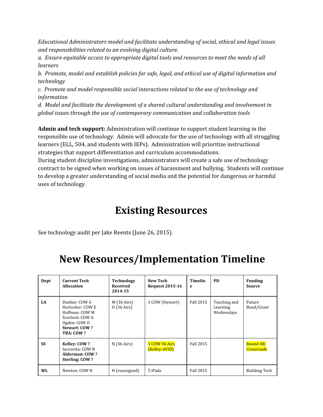*Educational Administrators model and facilitate understanding of social, ethical and legal issues and responsibilities related to an evolving digital culture.*

*a. Ensure equitable access to appropriate digital tools and resources to meet the needs of all learners*

*b. Promote, model and establish policies for safe, legal, and ethical use of digital information and technology*

*c. Promote and model responsible social interactions related to the use of technology and information*

*d. Model and facilitate the development of a shared cultural understanding and involvement in global issues through the use of contemporary communication and collaboration tools*

**Admin and tech support:**Administration will continue to support student learning in the responsible use of technology. Admin will advocate for the use of technology with all struggling learners (ELL, 504, and students with IEPs). Administration will prioritize instructional strategies that support differentiation and curriculum accommodations.

During student discipline investigations, administrators will create a safe use of technology contract to be signed when working on issues of harassment and bullying. Students will continue to develop a greater understanding of social media and the potential for dangerous or harmful uses of technology.

# **Existing Resources**

See technology audit per Jake Reents (June 26, 2015).

# **New Resources/Implementation Timeline**

| Dept      | <b>Current Tech</b><br><b>Allocation</b>                                                                             | <b>Technology</b><br>Received<br>2014-15     | New Tech<br><b>Request 2015-16</b>    | <b>Timelin</b><br>e | <b>PD</b>                              | <b>Funding</b><br>Source |
|-----------|----------------------------------------------------------------------------------------------------------------------|----------------------------------------------|---------------------------------------|---------------------|----------------------------------------|--------------------------|
| LA        | Dunbar: COW G<br>Hurlocker: COW E<br>Hoffman: COW M<br>Scurlock: COW A<br>Ogden: COW O<br>Stewart: COW?<br>TBA: COW? | $M(36 \text{ Airs})$<br>$0(36 \text{ Airs})$ | 1 COW (Stewart)                       | <b>Fall 2015</b>    | Teaching and<br>Learning<br>Wednesdays | Future<br>Bond/Grant     |
| <b>SS</b> | <b>Kelley: COW?</b><br>Iacovetta: COW N<br>Alderman: COW?<br>Sterling: COW?                                          | $N(36 \text{ Airs})$                         | <b>1 COW 36 Airs</b><br>(Kelley-AVID) | Fall 2015           |                                        | Round 4B:<br>Crossroads  |
| WL        | Newton: COW H                                                                                                        | H (reassigned)                               | 5 iPads                               | <b>Fall 2015</b>    |                                        | <b>Building Tech</b>     |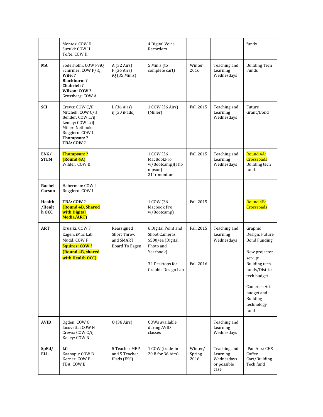|                           | Montes: COW H<br>Suzuki: COW H<br>Tofte: COW H                                                                                                  |                                                          | 4 Digital Voice<br>Recorders                                                                                                        |                                      |                                                               | funds                                                                                                                                                                                                 |
|---------------------------|-------------------------------------------------------------------------------------------------------------------------------------------------|----------------------------------------------------------|-------------------------------------------------------------------------------------------------------------------------------------|--------------------------------------|---------------------------------------------------------------|-------------------------------------------------------------------------------------------------------------------------------------------------------------------------------------------------------|
| MA                        | Soderholm: COW P/iQ<br>Schirmer: COW P/iQ<br>Wile: ?<br><b>Blackburn: ?</b><br>Chabriel: ?<br>Wilson: COW?<br>Grossberg: COW A                  | A (32 Airs)<br>P(36 Airs)<br>iQ (35 Minis)               | 5 Minis (to<br>complete cart)                                                                                                       | Winter<br>2016                       | Teaching and<br>Learning<br>Wednesdays                        | <b>Building Tech</b><br>Funds                                                                                                                                                                         |
| <b>SCI</b>                | Crews: COW C/iJ<br>Mitchell: COW C/iJ<br>Bender: COW L/iJ<br>Lemay: COW L/iJ<br>Miller: Netbooks<br>Ruggiero: COW I<br>Thompson: ?<br>TBA: COW? | L(36 Airs)<br>iJ (30 iPads)                              | 1 COW (36 Airs)<br>(Miller)                                                                                                         | <b>Fall 2015</b>                     | Teaching and<br>Learning<br>Wednesdays                        | Future<br>Grant/Bond                                                                                                                                                                                  |
| ENG/<br><b>STEM</b>       | <b>Thompson: ?</b><br>(Round 4A)<br>Wilder: COW K                                                                                               |                                                          | 1 COW (36<br>MacBookPro<br>w/Bootcamp)(Tho<br>mpson)<br>21"+ monitor                                                                | <b>Fall 2015</b>                     | Teaching and<br>Learning<br>Wednesdays                        | Round 4A:<br>Crossroads<br><b>Building tech</b><br>fund                                                                                                                                               |
| Rachel<br>Carson          | Haberman: COW I<br>Ruggiero: COW I                                                                                                              |                                                          |                                                                                                                                     |                                      |                                                               |                                                                                                                                                                                                       |
| Health<br>/Healt<br>h OCC | TBA: COW?<br><b>(Round 4B, Shared</b><br>with Digital<br>Media/ART)                                                                             |                                                          | 1 COW (36<br>Macbook Pro<br>w/Bootcamp)                                                                                             | <b>Fall 2015</b>                     |                                                               | Round 4B:<br>Crossroads                                                                                                                                                                               |
| <b>ART</b>                | Kruziki: COW F<br>Eagen: iMac Lab<br>Mudd: COW F<br><b>Squires: COW?</b><br>(Round 4B, shared<br>with Health OCC)                               | Reassigned<br>Short Throw<br>and SMART<br>Board To Eagen | 6 Digital Point and<br><b>Shoot Cameras</b><br>\$500/ea (Digital<br>Photo and<br>Yearbook)<br>32 Desktops for<br>Graphic Design Lab | <b>Fall 2015</b><br><b>Fall 2016</b> | Teaching and<br>Learning<br>Wednesdays                        | Graphic<br>Design: Future<br><b>Bond Funding</b><br>New projector<br>set-up:<br><b>Building tech</b><br>funds/District<br>tech budget<br>Cameras: Art<br>budget and<br>Building<br>technology<br>fund |
| <b>AVID</b>               | Ogden: COW O<br>Iacovetta: COWN<br>Crews: COW C/iJ<br>Kelley: COWN                                                                              | $0(36 \text{ Airs})$                                     | COWs available<br>during AVID<br>classes                                                                                            |                                      | Teaching and<br>Learning<br>Wednesdays                        |                                                                                                                                                                                                       |
| SpEd/<br><b>ELL</b>       | LC:<br>Kaanapu: COW B<br>Kerner: COW B<br>TBA: COW B                                                                                            | 5 Teacher MBP<br>and 5 Teacher<br>iPads (ESS)            | 1 COW (trade-in<br>20 B for 36 Airs)                                                                                                | Winter/<br>Spring<br>2016            | Teaching and<br>Learning<br>Wednesdays<br>or possible<br>case | iPad Airs: CHS<br>Coffee<br>Cart/Building<br>Tech fund                                                                                                                                                |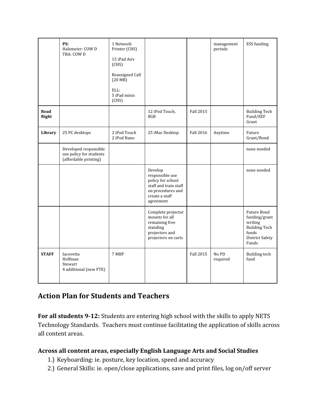|               | PS:<br>Halemeier: COW D<br>TBA: COW D                                     | 1 Network<br>Printer (CHS)<br>15 iPad Airs<br>(CHS)<br>Reassigned Calf<br>(20 MB)<br>ELL:<br>5 iPad minis<br>(CHS) |                                                                                                                              |                  | management<br>periods | ESS funding                                                                                                 |
|---------------|---------------------------------------------------------------------------|--------------------------------------------------------------------------------------------------------------------|------------------------------------------------------------------------------------------------------------------------------|------------------|-----------------------|-------------------------------------------------------------------------------------------------------------|
| Read<br>Right |                                                                           |                                                                                                                    | 12 iPod Touch,<br>8GB                                                                                                        | Fall 2015        |                       | <b>Building Tech</b><br>Fund/EEF<br>Grant                                                                   |
| Library       | 25 PC desktops                                                            | 2 iPod Touch<br>2 iPod Nano                                                                                        | 25 iMac Desktop                                                                                                              | <b>Fall 2016</b> | Anytime               | Future<br>Grant/Bond                                                                                        |
|               | Developed responsible<br>use policy for students<br>(affordable printing) |                                                                                                                    |                                                                                                                              |                  |                       | none needed                                                                                                 |
|               |                                                                           |                                                                                                                    | Develop<br>responsible use<br>policy for school<br>staff and train staff<br>on procedures and<br>create a staff<br>agreement |                  |                       | none needed                                                                                                 |
|               |                                                                           |                                                                                                                    | Complete projector<br>mounts for all<br>remaining free<br>standing<br>projectors and<br>projectors on carts                  |                  |                       | Future Bond<br>funding/grant<br>writing<br><b>Building Tech</b><br>funds<br><b>District Safety</b><br>Funds |
| <b>STAFF</b>  | Iacovetta<br>Hoffman<br>Stewart<br>4 additional (new FTE)                 | 7 MBP                                                                                                              |                                                                                                                              | Fall 2015        | No PD<br>required     | <b>Building tech</b><br>fund                                                                                |

### **Action Plan for Students and Teachers**

**For all students 9-12:**Students are entering high school with the skills to apply NETS Technology Standards. Teachers must continue facilitating the application of skills across all content areas.

#### **Across all content areas, especially English Language Arts and Social Studies**

- 1.) Keyboarding: ie. posture, key location, speed and accuracy
- 2.) General Skills: ie. open/close applications, save and print files, log on/off server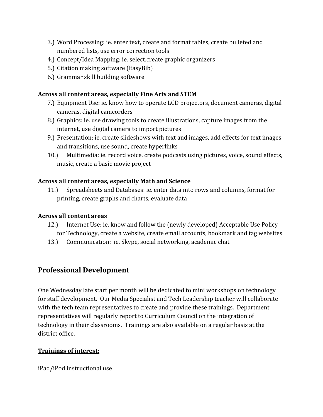- 3.) Word Processing: ie. enter text, create and format tables, create bulleted and numbered lists, use error correction tools
- 4.) Concept/Idea Mapping: ie. select.create graphic organizers
- 5.) Citation making software (EasyBib)
- 6.) Grammar skill building software

#### **Across all content areas, especially Fine Arts and STEM**

- 7.) Equipment Use: ie. know how to operate LCD projectors, document cameras, digital cameras, digital camcorders
- 8.) Graphics: ie. use drawing tools to create illustrations, capture images from the internet, use digital camera to import pictures
- 9.) Presentation: ie. create slideshows with text and images, add effects for text images and transitions, use sound, create hyperlinks
- 10.) Multimedia: ie. record voice, create podcasts using pictures, voice, sound effects, music, create a basic movie project

#### **Across all content areas, especially Math and Science**

11.) Spreadsheets and Databases: ie. enter data into rows and columns, format for printing, create graphs and charts, evaluate data

#### **Across all content areas**

- 12.) Internet Use: ie. know and follow the (newly developed) Acceptable Use Policy for Technology, create a website, create email accounts, bookmark and tag websites
- 13.) Communication: ie. Skype, social networking, academic chat

### **Professional Development**

One Wednesday late start per month will be dedicated to mini workshops on technology for staff development. Our Media Specialist and Tech Leadership teacher will collaborate with the tech team representatives to create and provide these trainings. Department representatives will regularly report to Curriculum Council on the integration of technology in their classrooms. Trainings are also available on a regular basis at the district office.

#### **Trainings of interest:**

iPad/iPod instructional use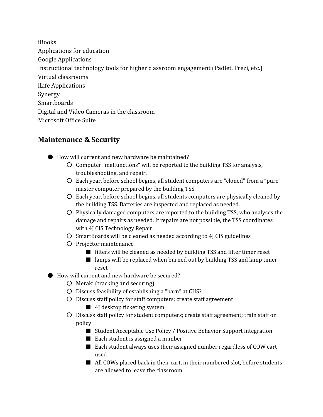iBooks Applications for education Google Applications Instructional technology tools for higher classroom engagement (Padlet, Prezi, etc.) Virtual classrooms iLife Applications Synergy **Smarthoards** Digital and Video Cameras in the classroom Microsoft Office Suite

### **Maintenance & Security**

- How will current and new hardware be maintained?
	- Computer "malfunctions" will be reported to the building TSS for analysis, troubleshooting, and repair.
	- Each year, before school begins, all student computers are "cloned" from a "pure" master computer prepared by the building TSS.
	- Each year, before school begins, all students computers are physically cleaned by the building TSS. Batteries are inspected and replaced as needed.
	- Physically damaged computers are reported to the building TSS, who analyses the damage and repairs as needed. If repairs are not possible, the TSS coordinates with 4J CIS Technology Repair.
	- SmartBoards will be cleaned as needed according to 4J CIS guidelines
	- Projector maintenance
		- filters will be cleaned as needed by building TSS and filter timer reset
		- lamps will be replaced when burned out by building TSS and lamp timer reset
- How will current and new hardware be secured?
	- Meraki (tracking and securing)
	- Discuss feasibility of establishing a "barn" at CHS?
	- Discuss staff policy for staff computers; create staff agreement
		- 4J desktop ticketing system
	- Discuss staff policy for student computers; create staff agreement; train staff on policy
		- Student Acceptable Use Policy / Positive Behavior Support integration
		- Each student is assigned a number
		- Each student always uses their assigned number regardless of COW cart used
		- All COWs placed back in their cart, in their numbered slot, before students are allowed to leave the classroom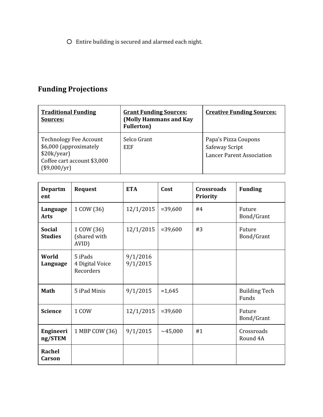○ Entire building is secured and alarmed each night.

# **Funding Projections**

| <b>Traditional Funding</b><br>Sources:                                                                                  | <b>Grant Funding Sources:</b><br>(Molly Hammans and Kay<br><b>Fullerton</b> ) | <b>Creative Funding Sources:</b>                                           |
|-------------------------------------------------------------------------------------------------------------------------|-------------------------------------------------------------------------------|----------------------------------------------------------------------------|
| <b>Technology Fee Account</b><br>\$6,000 (approximately<br>\$20k/year)<br>Coffee cart account \$3,000<br>$(\$9,000/yr)$ | Selco Grant<br>EEF                                                            | Papa's Pizza Coupons<br>Safeway Script<br><b>Lancer Parent Association</b> |

| <b>Departm</b><br>ent           | <b>Request</b>                          | <b>ETA</b>           | Cost       | <b>Crossroads</b><br><b>Priority</b> | <b>Funding</b>                |
|---------------------------------|-----------------------------------------|----------------------|------------|--------------------------------------|-------------------------------|
| Language<br><b>Arts</b>         | 1 COW (36)                              | 12/1/2015            | $= 39,600$ | #4                                   | Future<br>Bond/Grant          |
| <b>Social</b><br><b>Studies</b> | 1 COW (36)<br>(shared with<br>AVID)     | 12/1/2015            | $= 39,600$ | #3                                   | Future<br>Bond/Grant          |
| World<br>Language               | 5 iPads<br>4 Digital Voice<br>Recorders | 9/1/2016<br>9/1/2015 |            |                                      |                               |
| <b>Math</b>                     | 5 iPad Minis                            | 9/1/2015             | $=1,645$   |                                      | <b>Building Tech</b><br>Funds |
| <b>Science</b>                  | 1 COW                                   | 12/1/2015            | $= 39,600$ |                                      | Future<br>Bond/Grant          |
| Engineeri<br>ng/STEM            | 1 MBP COW (36)                          | 9/1/2015             | ~145,000   | #1                                   | Crossroads<br>Round 4A        |
| <b>Rachel</b><br>Carson         |                                         |                      |            |                                      |                               |